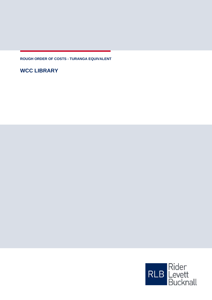**ROUGH ORDER OF COSTS - TURANGA EQUIVALENT**

**WCC LIBRARY**

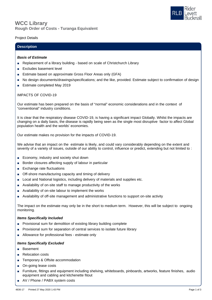

## **Rough Order of Costs - Turanga Equivalent WCC Library**

## Project Details

## **Description**

#### *Basis of Estimate*

- Replacement of a library building based on scale of Christchurch Library
- Excludes basement level
- Estimate based on approximate Gross Floor Areas only (GFA)
- No design documents/drawings/specifications; and the like, provided. Estimate subject to confirmation of design
- Estimate completed May 2019

## IMPACTS OF COVID-19

Our estimate has been prepared on the basis of "normal" economic considerations and in the context of "conventional" industry conditions.

It is clear that the respiratory disease COVID-19, is having a significant impact Globally. Whilst the impacts are changing on a daily basis, the disease is rapidly being seen as the single most disruptive factor to affect Global population health and the worlds' economies.

Our estimate makes no provision for the impacts of COVID-19.

We advise that an impact on the estimate is likely, and could vary considerably depending on the extent and severity of a variety of issues, outside of our ability to control, influence or predict, extending but not limited to :

- Economy, industry and society shut down
- Border closures affecting supply of labour in particular
- Exchange rate fluctuations
- Off-shore manufacturing capacity and timing of delivery
- Local and National logistics, including delivery of materials and supplies etc.
- Availability of on-site staff to manage productivity of the works
- Availability of on-site labour to implement the works
- Availability of off-site management and administrative functions to support on-site activity

The impact on the estimate may only be in the short to medium term. However, this will be subject to ongoing monitoring.

## *Items Specifically Included*

- Provisional sum for demolition of existing library building complete
- Provisional sum for separation of central services to isolate future library
- Allowance for professional fees estimate only

## *Items Specifically Excluded*

- Basement
- Relocation costs
- Temporary & Offsite accommodation
- On-going lease costs
- Furniture, fittings and equipment including shelving, whiteboards, pinboards, artworks, feature finishes, audio equipment and cabling and kitchenette fitout
- AV / Phone / PABX system costs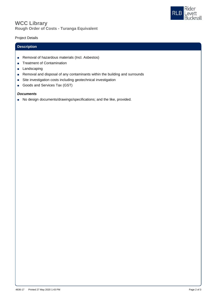

# **Rough Order of Costs - Turanga Equivalent WCC Library**

## Project Details

## **Description**

- Removal of hazardous materials (Incl. Asbestos)
- Treatment of Contamination
- Landscaping
- Removal and disposal of any contaminants within the building and surrounds
- Site investigation costs including geotechnical investigation
- Goods and Services Tax (GST)

## *Documents*

■ No design documents/drawings/specifications; and the like, provided.